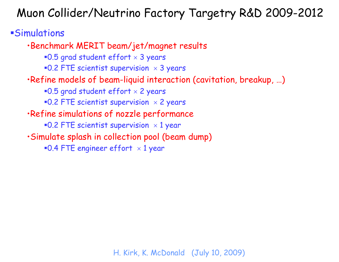#### Simulations

•Benchmark MERIT beam/jet/magnet results  $\textcolor{red}{\bullet}$ 0.5 grad student effort  $\times$  3 years  $\textcolor{red}{\bullet}$ 0.2 FTE scientist supervision  $\hspace{1pt}\times\hspace{1pt}3$  years •Refine models of beam-liquid interaction (cavitation, breakup, …)  $\textcolor{red}{\bullet}$ 0.5 grad student effort  $\times$  2 years  $\textcolor{red}{\bullet}$ 0.2 FTE scientist supervision  $\textcolor{red}{\times}$  2 years •Refine simulations of nozzle performance =0.2 FTE scientist supervision  $\,\times\,1\,$ year •Simulate splash in collection pool (beam dump)  $\textcolor{red}{\bullet}$ 0.4 FTE engineer effort  $\hspace{0.1cm}\times 1$  year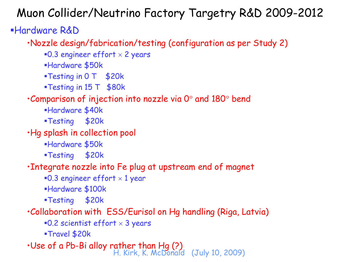### Hardware R&D

•Nozzle design/fabrication/testing (configuration as per Study 2)

- =0.3 engineer effort  $\times$  2 years
- Hardware \$50k
- **Testing in 0 T \$20k**
- **Testing in 15 T \$80k**

#### $\cdot$ Comparison of injection into nozzle via 0 $^{\circ}$  and 180 $^{\circ}$  bend

- Hardware \$40k
- Testing \$20k

•Hg splash in collection pool

- Hardware \$50k
- Testing \$20k

#### •Integrate nozzle into Fe plug at upstream end of magnet

- =0.3 engineer effort  $\times$  1 year
- Hardware \$100k
- Testing \$20k

#### •Collaboration with ESS/Eurisol on Hg handling (Riga, Latvia)

- $\textcolor{red}{\bullet}$ 0.2 scientist effort  $\times$  3 years
- Travel \$20k

•Use of a Pb-Bi alloy rather than Hg (?)<br>H. Kirk, K. McDonald (July 10, 2009)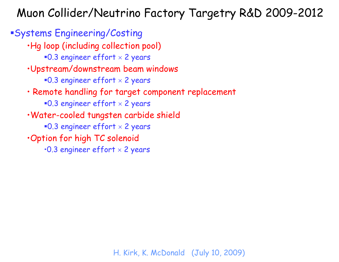Systems Engineering/Costing •Hg loop (including collection pool) =0.3 engineer effort  $\times$  2 years •Upstream/downstream beam windows =0.3 engineer effort  $\times$  2 years • Remote handling for target component replacement =0.3 engineer effort  $\times$  2 years •Water-cooled tungsten carbide shield =0.3 engineer effort  $\times$  2 years •Option for high TC solenoid  $\cdot$ 0.3 engineer effort  $\times$  2 years